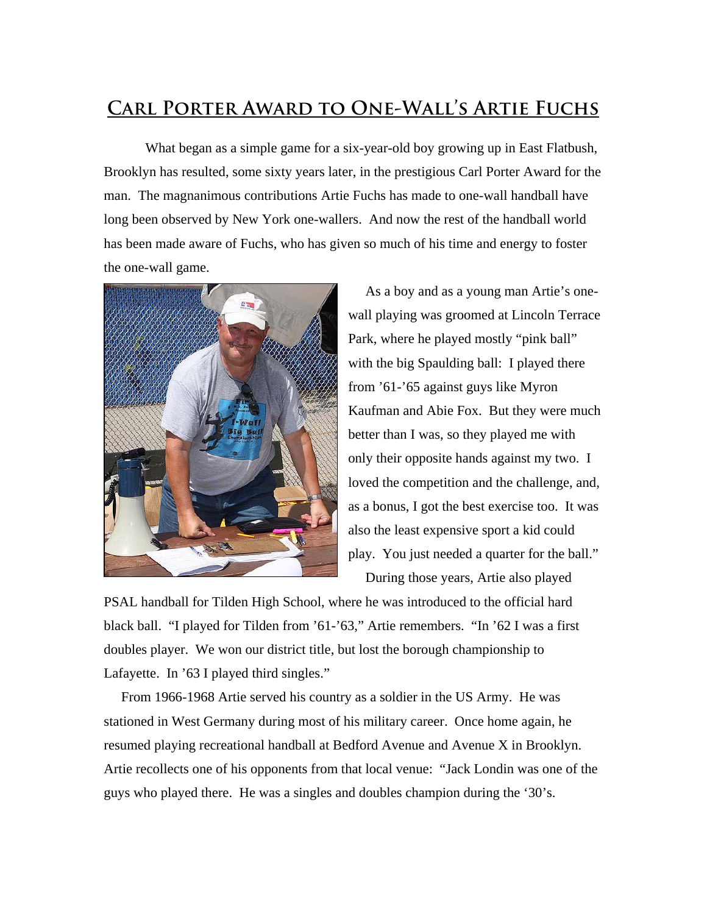## **Carl Porter Award to One-Wall's Artie Fuchs**

What began as a simple game for a six-year-old boy growing up in East Flatbush, Brooklyn has resulted, some sixty years later, in the prestigious Carl Porter Award for the man. The magnanimous contributions Artie Fuchs has made to one-wall handball have long been observed by New York one-wallers. And now the rest of the handball world has been made aware of Fuchs, who has given so much of his time and energy to foster the one-wall game.



 As a boy and as a young man Artie's onewall playing was groomed at Lincoln Terrace Park, where he played mostly "pink ball" with the big Spaulding ball: I played there from '61-'65 against guys like Myron Kaufman and Abie Fox. But they were much better than I was, so they played me with only their opposite hands against my two. I loved the competition and the challenge, and, as a bonus, I got the best exercise too. It was also the least expensive sport a kid could play. You just needed a quarter for the ball." During those years, Artie also played

PSAL handball for Tilden High School, where he was introduced to the official hard black ball. "I played for Tilden from '61-'63," Artie remembers. "In '62 I was a first doubles player. We won our district title, but lost the borough championship to Lafayette. In '63 I played third singles."

 From 1966-1968 Artie served his country as a soldier in the US Army. He was stationed in West Germany during most of his military career. Once home again, he resumed playing recreational handball at Bedford Avenue and Avenue X in Brooklyn. Artie recollects one of his opponents from that local venue: "Jack Londin was one of the guys who played there. He was a singles and doubles champion during the '30's.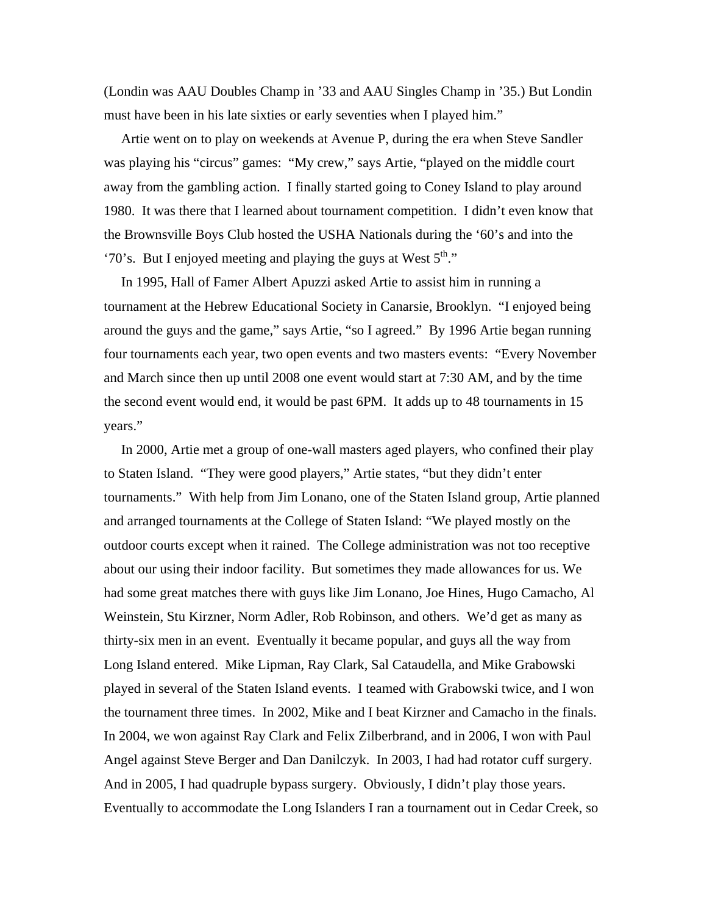(Londin was AAU Doubles Champ in '33 and AAU Singles Champ in '35.) But Londin must have been in his late sixties or early seventies when I played him."

 Artie went on to play on weekends at Avenue P, during the era when Steve Sandler was playing his "circus" games: "My crew," says Artie, "played on the middle court away from the gambling action. I finally started going to Coney Island to play around 1980. It was there that I learned about tournament competition. I didn't even know that the Brownsville Boys Club hosted the USHA Nationals during the '60's and into the '70's. But I enjoyed meeting and playing the guys at West  $5<sup>th</sup>$ ."

 In 1995, Hall of Famer Albert Apuzzi asked Artie to assist him in running a tournament at the Hebrew Educational Society in Canarsie, Brooklyn. "I enjoyed being around the guys and the game," says Artie, "so I agreed." By 1996 Artie began running four tournaments each year, two open events and two masters events: "Every November and March since then up until 2008 one event would start at 7:30 AM, and by the time the second event would end, it would be past 6PM. It adds up to 48 tournaments in 15 years."

 In 2000, Artie met a group of one-wall masters aged players, who confined their play to Staten Island. "They were good players," Artie states, "but they didn't enter tournaments." With help from Jim Lonano, one of the Staten Island group, Artie planned and arranged tournaments at the College of Staten Island: "We played mostly on the outdoor courts except when it rained. The College administration was not too receptive about our using their indoor facility. But sometimes they made allowances for us. We had some great matches there with guys like Jim Lonano, Joe Hines, Hugo Camacho, Al Weinstein, Stu Kirzner, Norm Adler, Rob Robinson, and others. We'd get as many as thirty-six men in an event. Eventually it became popular, and guys all the way from Long Island entered. Mike Lipman, Ray Clark, Sal Cataudella, and Mike Grabowski played in several of the Staten Island events. I teamed with Grabowski twice, and I won the tournament three times. In 2002, Mike and I beat Kirzner and Camacho in the finals. In 2004, we won against Ray Clark and Felix Zilberbrand, and in 2006, I won with Paul Angel against Steve Berger and Dan Danilczyk. In 2003, I had had rotator cuff surgery. And in 2005, I had quadruple bypass surgery. Obviously, I didn't play those years. Eventually to accommodate the Long Islanders I ran a tournament out in Cedar Creek, so